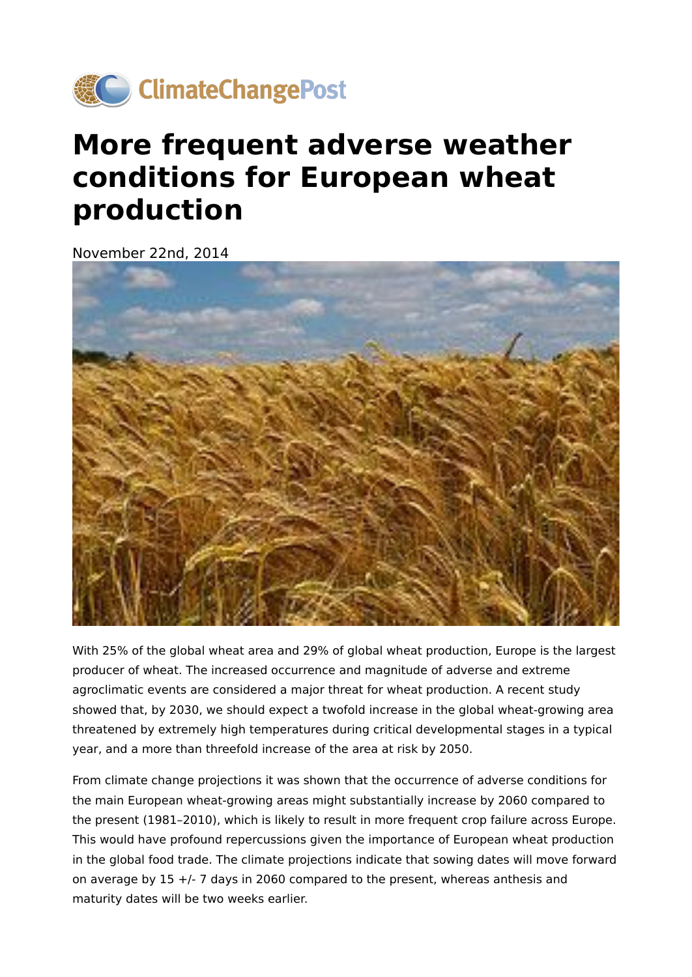

## **More frequent adverse weather conditions for European wheat production**

November 22nd, 2014



With 25% of the global wheat area and 29% of global wheat production, Europe is the largest producer of wheat. The increased occurrence and magnitude of adverse and extreme agroclimatic events are considered a major threat for wheat production. A recent study showed that, by 2030, we should expect a twofold increase in the global wheat-growing area threatened by extremely high temperatures during critical developmental stages in a typical year, and a more than threefold increase of the area at risk by 2050.

From climate change projections it was shown that the occurrence of adverse conditions for the main European wheat-growing areas might substantially increase by 2060 compared to the present (1981–2010), which is likely to result in more frequent crop failure across Europe. This would have profound repercussions given the importance of European wheat production in the global food trade. The climate projections indicate that sowing dates will move forward on average by 15 +/- 7 days in 2060 compared to the present, whereas anthesis and maturity dates will be two weeks earlier.